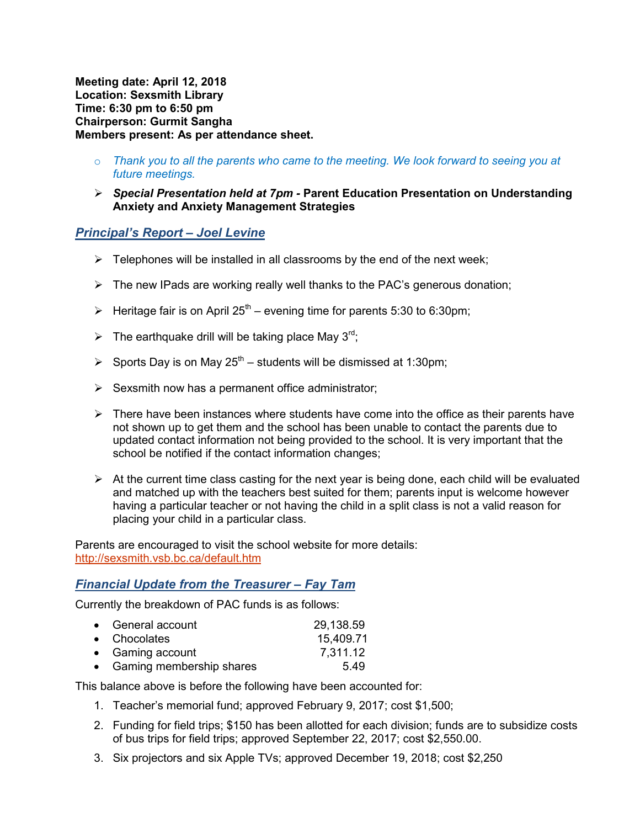**Meeting date: April 12, 2018 Location: Sexsmith Library Time: 6:30 pm to 6:50 pm Chairperson: Gurmit Sangha Members present: As per attendance sheet.** 

- o *Thank you to all the parents who came to the meeting. We look forward to seeing you at future meetings.*
- *Special Presentation held at 7pm* **Parent Education Presentation on Understanding Anxiety and Anxiety Management Strategies**

### *Principal's Report – Joel Levine*

- $\triangleright$  Telephones will be installed in all classrooms by the end of the next week;
- $\triangleright$  The new IPads are working really well thanks to the PAC's generous donation;
- Heritage fair is on April 25<sup>th</sup> evening time for parents 5:30 to 6:30pm;
- $\triangleright$  The earthquake drill will be taking place May 3<sup>rd</sup>;
- $\triangleright$  Sports Day is on May 25<sup>th</sup> students will be dismissed at 1:30pm;
- $\triangleright$  Sexsmith now has a permanent office administrator;
- $\triangleright$  There have been instances where students have come into the office as their parents have not shown up to get them and the school has been unable to contact the parents due to updated contact information not being provided to the school. It is very important that the school be notified if the contact information changes;
- $\triangleright$  At the current time class casting for the next year is being done, each child will be evaluated and matched up with the teachers best suited for them; parents input is welcome however having a particular teacher or not having the child in a split class is not a valid reason for placing your child in a particular class.

Parents are encouraged to visit the school website for more details: http://sexsmith.vsb.bc.ca/default.htm

#### *Financial Update from the Treasurer – Fay Tam*

Currently the breakdown of PAC funds is as follows:

| • General account          | 29,138.59 |
|----------------------------|-----------|
| • Chocolates               | 15,409.71 |
| • Gaming account           | 7,311.12  |
| • Gaming membership shares | 5.49      |

This balance above is before the following have been accounted for:

- 1. Teacher's memorial fund; approved February 9, 2017; cost \$1,500;
- 2. Funding for field trips; \$150 has been allotted for each division; funds are to subsidize costs of bus trips for field trips; approved September 22, 2017; cost \$2,550.00.
- 3. Six projectors and six Apple TVs; approved December 19, 2018; cost \$2,250